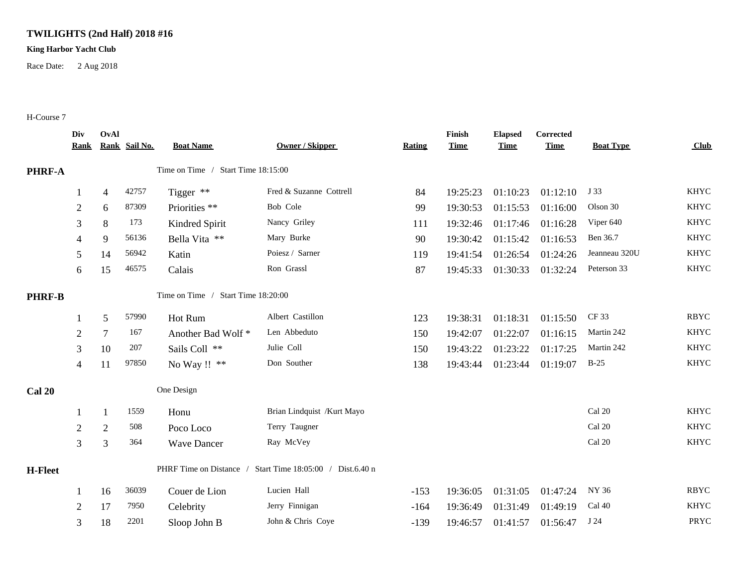## **TWILIGHTS (2nd Half) 2018 #16**

## **King Harbor Yacht Club**

Race Date: 2 Aug 2018

## H-Course 7

|                | Div<br><u>Kank</u> | OvAl           | Rank Sail No. | <b>Boat Name</b>                   | <b>Owner / Skipper</b>                                    | Rating | Finish<br><b>Time</b> | <b>Elapsed</b><br><b>Time</b> | Corrected<br><b>Time</b> | <b>Boat Type</b> | Club        |
|----------------|--------------------|----------------|---------------|------------------------------------|-----------------------------------------------------------|--------|-----------------------|-------------------------------|--------------------------|------------------|-------------|
| <b>PHRF-A</b>  |                    |                |               | Time on Time / Start Time 18:15:00 |                                                           |        |                       |                               |                          |                  |             |
|                |                    | $\overline{4}$ | 42757         | Tigger **                          | Fred & Suzanne Cottrell                                   | 84     | 19:25:23              | 01:10:23                      | 01:12:10                 | J 33             | <b>KHYC</b> |
|                | $\overline{c}$     | 6              | 87309         | Priorities **                      | Bob Cole                                                  | 99     | 19:30:53              | 01:15:53                      | 01:16:00                 | Olson 30         | <b>KHYC</b> |
|                | 3                  | 8              | 173           | Kindred Spirit                     | Nancy Griley                                              | 111    | 19:32:46              | 01:17:46                      | 01:16:28                 | Viper 640        | <b>KHYC</b> |
|                | 4                  | 9              | 56136         | Bella Vita **                      | Mary Burke                                                | 90     | 19:30:42              | 01:15:42                      | 01:16:53                 | Ben 36.7         | <b>KHYC</b> |
|                | 5                  | 14             | 56942         | Katin                              | Poiesz / Sarner                                           | 119    | 19:41:54              | 01:26:54                      | 01:24:26                 | Jeanneau 320U    | <b>KHYC</b> |
|                | 6                  | 15             | 46575         | Calais                             | Ron Grassl                                                | 87     | 19:45:33              | 01:30:33                      | 01:32:24                 | Peterson 33      | <b>KHYC</b> |
| <b>PHRF-B</b>  |                    |                |               | Time on Time / Start Time 18:20:00 |                                                           |        |                       |                               |                          |                  |             |
|                |                    | 5              | 57990         | Hot Rum                            | Albert Castillon                                          | 123    | 19:38:31              | 01:18:31                      | 01:15:50                 | CF 33            | <b>RBYC</b> |
|                | 2                  | 7              | 167           | Another Bad Wolf *                 | Len Abbeduto                                              | 150    | 19:42:07              | 01:22:07                      | 01:16:15                 | Martin 242       | <b>KHYC</b> |
|                | 3                  | 10             | 207           | Sails Coll **                      | Julie Coll                                                | 150    | 19:43:22              | 01:23:22                      | 01:17:25                 | Martin 242       | <b>KHYC</b> |
|                | 4                  | 11             | 97850         | No Way !! **                       | Don Souther                                               | 138    | 19:43:44              | 01:23:44                      | 01:19:07                 | $B-25$           | <b>KHYC</b> |
| <b>Cal 20</b>  |                    |                |               | One Design                         |                                                           |        |                       |                               |                          |                  |             |
|                |                    | -1             | 1559          | Honu                               | Brian Lindquist /Kurt Mayo                                |        |                       |                               |                          | Cal 20           | <b>KHYC</b> |
|                | $\overline{2}$     | $\overline{2}$ | 508           | Poco Loco                          | Terry Taugner                                             |        |                       |                               |                          | Cal 20           | <b>KHYC</b> |
|                | 3                  | 3              | 364           | <b>Wave Dancer</b>                 | Ray McVey                                                 |        |                       |                               |                          | Cal 20           | <b>KHYC</b> |
| <b>H-Fleet</b> |                    |                |               |                                    | PHRF Time on Distance / Start Time 18:05:00 / Dist.6.40 n |        |                       |                               |                          |                  |             |
|                |                    | 16             | 36039         | Couer de Lion                      | Lucien Hall                                               | $-153$ | 19:36:05              | 01:31:05                      | 01:47:24                 | NY 36            | <b>RBYC</b> |
|                | $\overline{2}$     | 17             | 7950          | Celebrity                          | Jerry Finnigan                                            | $-164$ | 19:36:49              | 01:31:49                      | 01:49:19                 | Cal 40           | <b>KHYC</b> |
|                | 3                  | 18             | 2201          | Sloop John B                       | John & Chris Coye                                         | $-139$ | 19:46:57              | 01:41:57                      | 01:56:47                 | J 24             | PRYC        |